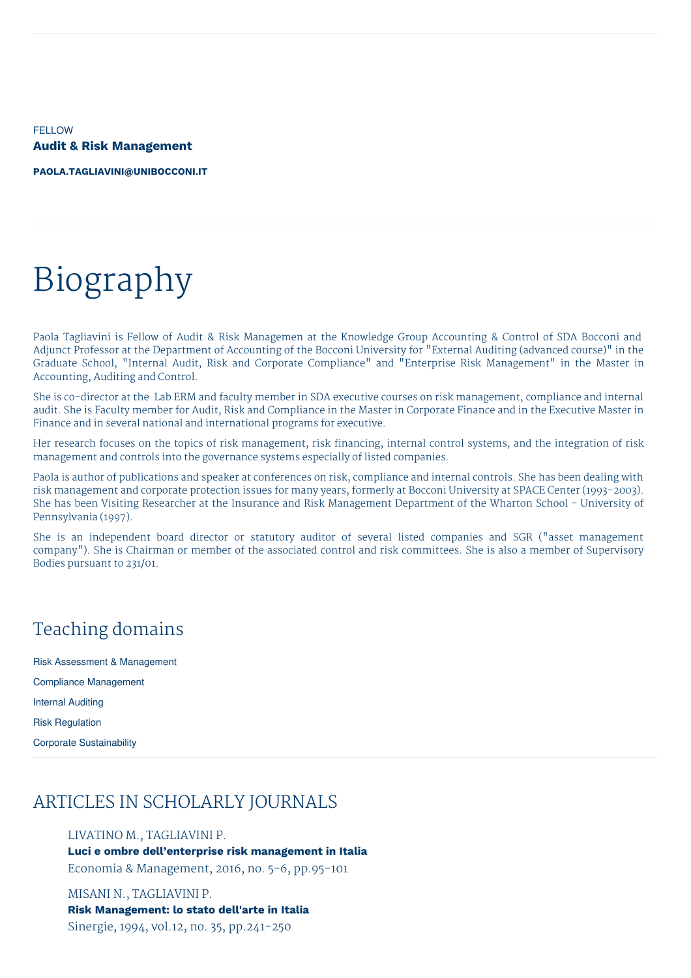FELLOW **Audit & Risk Management**

**[PAOLA.TAGLIAVINI@UNIBOCCONI.IT](mailto:paola.tagliavini@unibocconi.it)**

# Biography

Paola Tagliavini is Fellow of Audit & Risk Managemen at the Knowledge Group Accounting & Control of SDA Bocconi and Adjunct Professor at the Department of Accounting of the Bocconi University for "External Auditing (advanced course)" in the Graduate School, "Internal Audit, Risk and Corporate Compliance" and "Enterprise Risk Management" in the Master in Accounting, Auditing and Control.

She is co-director at the Lab ERM and faculty member in SDA executive courses on risk management, compliance and internal audit. She is Faculty member for Audit, Risk and Compliance in the Master in Corporate Finance and in the Executive Master in Finance and in several national and international programs for executive.

Her research focuses on the topics of risk management, risk financing, internal control systems, and the integration of risk management and controls into the governance systems especially of listed companies.

Paola is author of publications and speaker at conferences on risk, compliance and internal controls. She has been dealing with risk management and corporate protection issues for many years, formerly at Bocconi University at SPACE Center (1993-2003). She has been Visiting Researcher at the Insurance and Risk Management Department of the Wharton School - University of Pennsylvania (1997).

She is an independent board director or statutory auditor of several listed companies and SGR ("asset management company"). She is Chairman or member of the associated control and risk committees. She is also a member of Supervisory Bodies pursuant to 231/01.

## Teaching domains

Risk Assessment & Management Compliance Management Internal Auditing Risk Regulation Corporate Sustainability

# ARTICLES IN SCHOLARLY JOURNALS

LIVATINO M., TAGLIAVINI P.

**Luci e ombre dell'enterprise risk management in Italia**

Economia & Management, 2016, no. 5-6, pp.95-101

MISANI N., TAGLIAVINI P. **Risk Management: lo stato dell'arte in Italia** Sinergie, 1994, vol.12, no. 35, pp.241-250